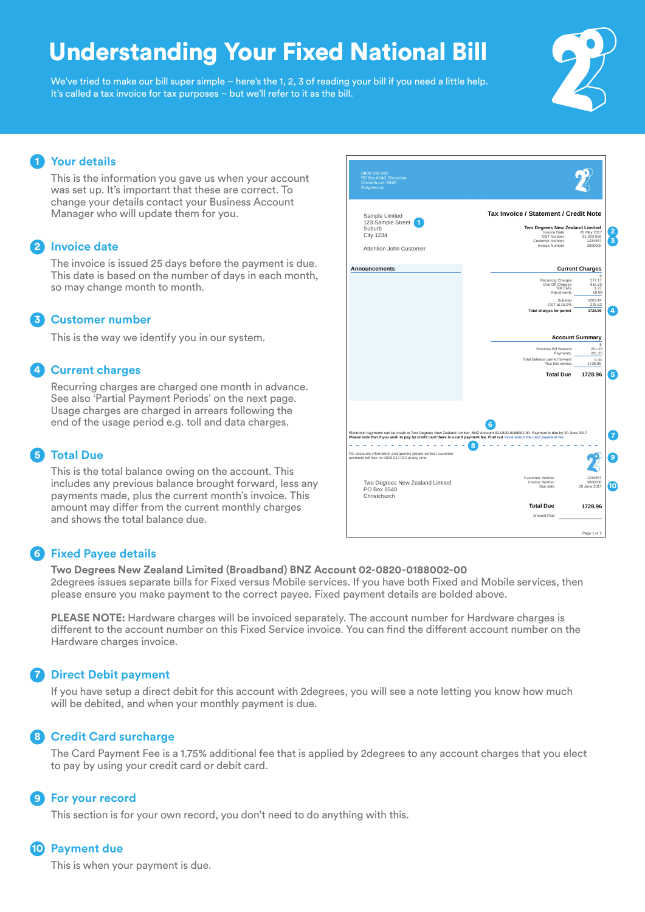# Understanding Your Fixed National Bill

We've tried to make our bill super simple – here's the 1, 2, 3 of reading your bill if you need a little help. It's called a tax invoice for tax purposes – but we'll refer to it as the bill.



## **Your details 1**

This is the information you gave us when your account was set up. It's important that these are correct. To change your details contact your Business Account Manager who will update them for you.

### **2** Invoice date

The invoice is issued 25 days before the payment is due. This date is based on the number of days in each month, so may change month to month.

#### **Customer number 3**

This is the way we identify you in our system.

### **Current charges 4**

Recurring charges are charged one month in advance. See also 'Partial Payment Periods' on the next page. Usage charges are charged in arrears following the end of the usage period e.g. toll and data charges.

### **Total Due 5**

This is the total balance owing on the account. This includes any previous balance brought forward, less any payments made, plus the current month's invoice. This amount may differ from the current monthly charges and shows the total balance due.

#### **Tax Invoice / Statement / Credit Note** Sample Limited 123 Sample Street **1 Two Degrees New Zealand Limited** Suburb **2**City 1234 Invoice Date 26 May 2017 GST Number 91-223-058 **3** Customer Number 1234567 Invoice Number 3000000 Attention John Customer **Announcements Current Charges** \$ Recurring Charges 577.17 One Off Charges 915.00 Toll Calls 1.27 Adjustments 10.00 1503.44<br>225.52 Subtotal 1503.44<br>GST at 15.0% 225.52<br>nes for period 1728.96 **4 Total charges for period 1728.96 Account Summary** Previous Bill Bal \$<br>81 Balance 201.25<br>Payments 201.25 Total balance carried forward e carried forward 0.00<br>Plus this invoice 1728.96 **Total Due 1728.96 5 6** Electronic payments can be made to Two Degrees New Zealand Limited, BNZ Account 02-0820-0188002-00. Payment is due by 20 June 2017<br>Please note that if you wish to pay by credit card there is a card payment fee. Find out mo **7** . . . . . . . . . . . . . . . . . **8** For accounts information and queries please contact customer accounts toll free on 0800 022 022 at any time. **9** Customer Number 1234567 Two Degrees New Zealand Limited PO Box 8540 Christchurch Invoice Number 3000000 **10** Due date 20 June 2017 **Total Due 1728.96** Amount Paid Page 1 of 2

### **Fixed Payee details 6**

**Two Degrees New Zealand Limited (Broadband) BNZ Account 02-0820-0188002-00** 2degrees issues separate bills for Fixed versus Mobile services. If you have both Fixed and Mobile services, then please ensure you make payment to the correct payee. Fixed payment details are bolded above.

**PLEASE NOTE:** Hardware charges will be invoiced separately. The account number for Hardware charges is different to the account number on this Fixed Service invoice. You can find the different account number on the Hardware charges invoice.

### **Direct Debit payment 7**

If you have setup a direct debit for this account with 2degrees, you will see a note letting you know how much will be debited, and when your monthly payment is due.

### **Credit Card surcharge 8**

The Card Payment Fee is a 1.75% additional fee that is applied by 2degrees to any account charges that you elect to pay by using your credit card or debit card.

#### **For your record 9**

This section is for your own record, you don't need to do anything with this.

### **Payment due 10**

This is when your payment is due.